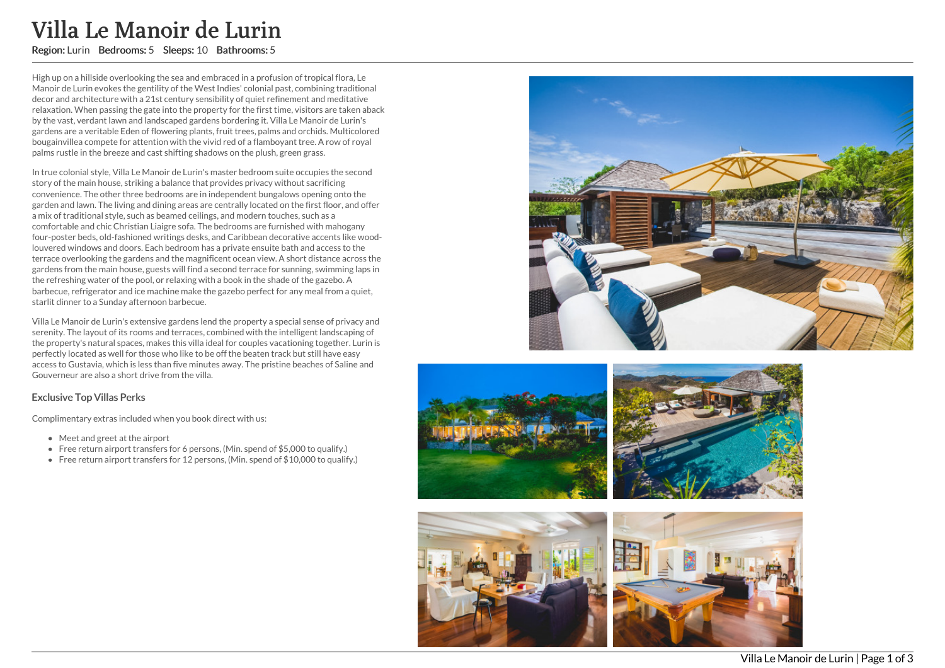## Villa Le Manoir de Lurin

Region: Lurin Bedrooms: 5 Sleeps: 10 Bathrooms: 5

High up on a hillside overlooking the sea and embraced in a profusion of tropical flora, Le Manoir de Lurin evokes the gentility of the West Indies' colonial past, combining traditional decor and architecture with a 21st century sensibility of quiet refinement and meditative relaxation. When passing the gate into the property for the first time, visitors are taken aback by the vast, verdant lawn and landscaped gardens bordering it. Villa Le Manoir de Lurin's gardens are a veritable Eden of flowering plants, fruit trees, palms and orchids. Multicolored bougainvillea compete for attention with the vivid red of a flamboyant tree. A row of royal palms rustle in the breeze and cast shifting shadows on the plush, green grass.

In true colonial style, Villa Le Manoir de Lurin's master bedroom suite occupies the second story of the main house, striking a balance that provides privacy without sacrificing convenience. The other three bedrooms are in independent bungalows opening onto the garden and lawn. The living and dining areas are centrally located on the first floor, and offer a mix of traditional style, such as beamed ceilings, and modern touches, such as a comfortable and chic Christian Liaigre sofa. The bedrooms are furnished with mahogany four-poster beds, old-fashioned writings desks, and Caribbean decorative accents like woodlouvered windows and doors. Each bedroom has a private ensuite bath and access to the terrace overlooking the gardens and the magnificent ocean view. A short distance across the gardens from the main house, guests will find a second terrace for sunning, swimming laps in the refreshing water of the pool, or relaxing with a book in the shade of the gazebo. A barbecue, refrigerator and ice machine make the gazebo perfect for any meal from a quiet, starlit dinner to a Sunday afternoon barbecue.

Villa Le Manoir de Lurin's extensive gardens lend the property a special sense of privacy and serenity. The layout of its rooms and terraces, combined with the intelligent landscaping of the property's natural spaces, makes this villa ideal for couples vacationing together. Lurin is perfectly located as well for those who like to be off the beaten track but still have easy access to Gustavia, which is less than five minutes away. The pristine beaches of Saline and Gouverneur are also a short drive from the villa.

## Exclusive Top Villas Perks

Complimentary extras included when you book direct with us:

- Meet and greet at the airport
- Free return airport transfers for 6 persons, (Min. spend of \$5,000 to qualify.)
- Free return airport transfers for 12 persons, (Min. spend of \$10,000 to qualify.)







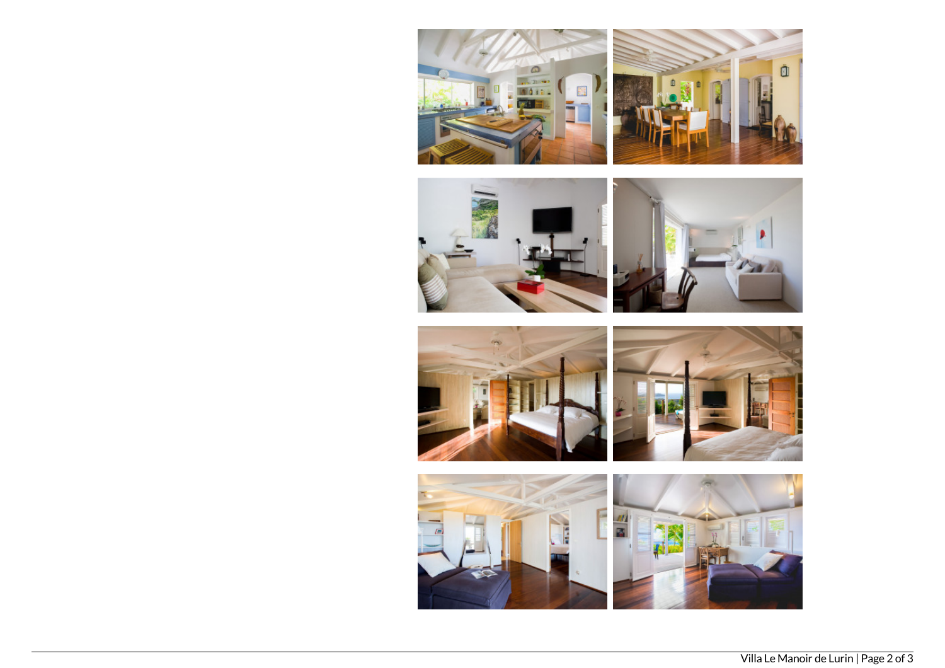